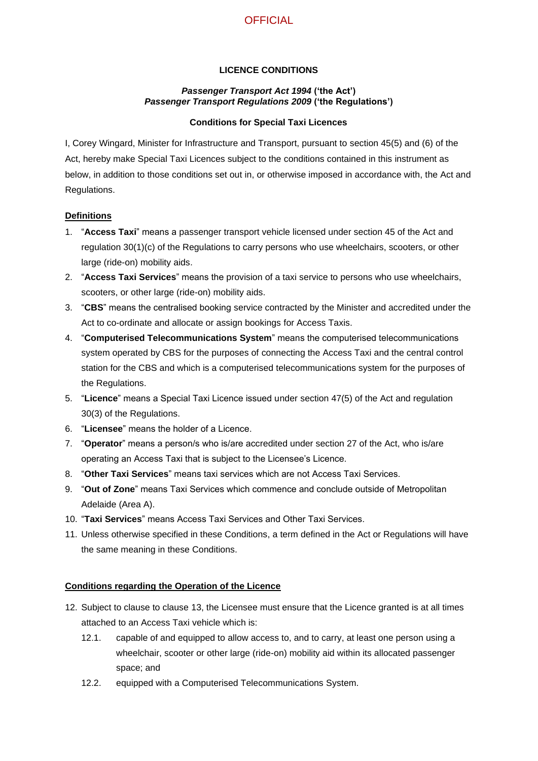# **OFFICIAL**

## **LICENCE CONDITIONS**

#### *Passenger Transport Act 1994* **('the Act')** *Passenger Transport Regulations 2009* **('the Regulations')**

### **Conditions for Special Taxi Licences**

I, Corey Wingard, Minister for Infrastructure and Transport, pursuant to section 45(5) and (6) of the Act, hereby make Special Taxi Licences subject to the conditions contained in this instrument as below, in addition to those conditions set out in, or otherwise imposed in accordance with, the Act and Regulations.

## **Definitions**

- 1. "**Access Taxi**" means a passenger transport vehicle licensed under section 45 of the Act and regulation 30(1)(c) of the Regulations to carry persons who use wheelchairs, scooters, or other large (ride-on) mobility aids.
- 2. "**Access Taxi Services**" means the provision of a taxi service to persons who use wheelchairs, scooters, or other large (ride-on) mobility aids.
- 3. "**CBS**" means the centralised booking service contracted by the Minister and accredited under the Act to co-ordinate and allocate or assign bookings for Access Taxis.
- 4. "**Computerised Telecommunications System**" means the computerised telecommunications system operated by CBS for the purposes of connecting the Access Taxi and the central control station for the CBS and which is a computerised telecommunications system for the purposes of the Regulations.
- 5. "**Licence**" means a Special Taxi Licence issued under section 47(5) of the Act and regulation 30(3) of the Regulations.
- 6. "**Licensee**" means the holder of a Licence.
- 7. "**Operator**" means a person/s who is/are accredited under section 27 of the Act, who is/are operating an Access Taxi that is subject to the Licensee's Licence.
- 8. "**Other Taxi Services**" means taxi services which are not Access Taxi Services.
- 9. "**Out of Zone**" means Taxi Services which commence and conclude outside of Metropolitan Adelaide (Area A).
- 10. "**Taxi Services**" means Access Taxi Services and Other Taxi Services.
- 11. Unless otherwise specified in these Conditions, a term defined in the Act or Regulations will have the same meaning in these Conditions.

### **Conditions regarding the Operation of the Licence**

- 12. Subject to clause to clause [13,](#page-1-0) the Licensee must ensure that the Licence granted is at all times attached to an Access Taxi vehicle which is:
	- 12.1. capable of and equipped to allow access to, and to carry, at least one person using a wheelchair, scooter or other large (ride-on) mobility aid within its allocated passenger space; and
	- 12.2. equipped with a Computerised Telecommunications System.